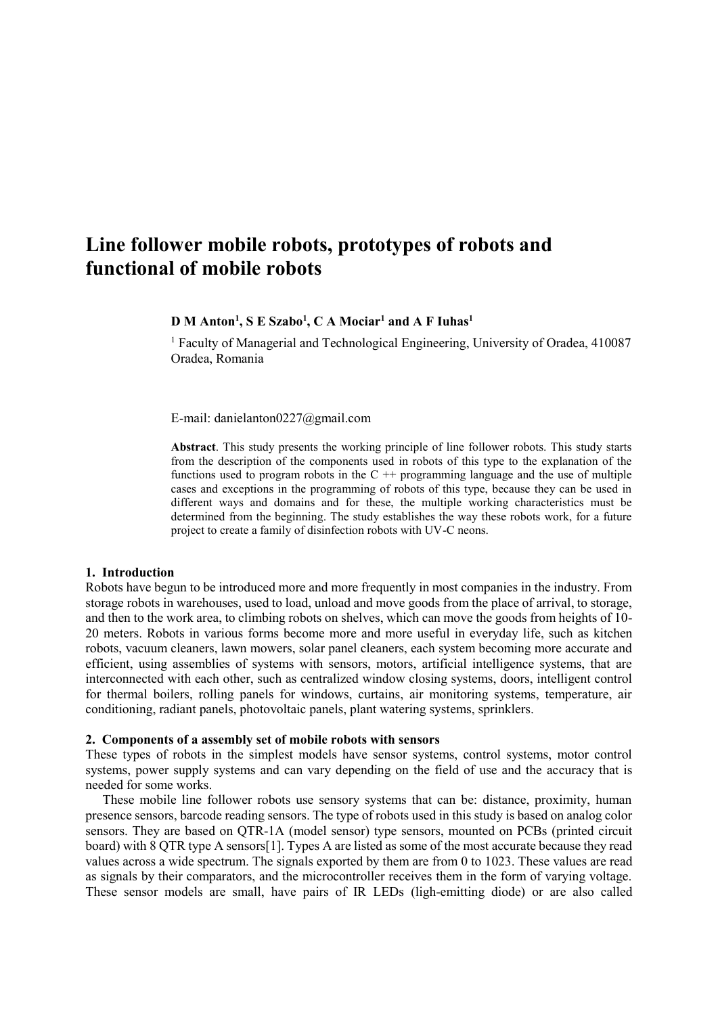# **Line follower mobile robots, prototypes of robots and functional of mobile robots**

### **D M Anton<sup>1</sup> , S E Szabo<sup>1</sup> , C A Mociar<sup>1</sup> and A F Iuhas<sup>1</sup>**

<sup>1</sup> Faculty of Managerial and Technological Engineering, University of Oradea, 410087 Oradea, Romania

E-mail: danielanton0227@gmail.com

**Abstract**. This study presents the working principle of line follower robots. This study starts from the description of the components used in robots of this type to the explanation of the functions used to program robots in the  $C +$  programming language and the use of multiple cases and exceptions in the programming of robots of this type, because they can be used in different ways and domains and for these, the multiple working characteristics must be determined from the beginning. The study establishes the way these robots work, for a future project to create a family of disinfection robots with UV-C neons.

#### **1. Introduction**

Robots have begun to be introduced more and more frequently in most companies in the industry. From storage robots in warehouses, used to load, unload and move goods from the place of arrival, to storage, and then to the work area, to climbing robots on shelves, which can move the goods from heights of 10- 20 meters. Robots in various forms become more and more useful in everyday life, such as kitchen robots, vacuum cleaners, lawn mowers, solar panel cleaners, each system becoming more accurate and efficient, using assemblies of systems with sensors, motors, artificial intelligence systems, that are interconnected with each other, such as centralized window closing systems, doors, intelligent control for thermal boilers, rolling panels for windows, curtains, air monitoring systems, temperature, air conditioning, radiant panels, photovoltaic panels, plant watering systems, sprinklers.

#### **2. Components of a assembly set of mobile robots with sensors**

These types of robots in the simplest models have sensor systems, control systems, motor control systems, power supply systems and can vary depending on the field of use and the accuracy that is needed for some works.

These mobile line follower robots use sensory systems that can be: distance, proximity, human presence sensors, barcode reading sensors. The type of robots used in this study is based on analog color sensors. They are based on QTR-1A (model sensor) type sensors, mounted on PCBs (printed circuit board) with 8 QTR type A sensors[1]. Types A are listed as some of the most accurate because they read values across a wide spectrum. The signals exported by them are from 0 to 1023. These values are read as signals by their comparators, and the microcontroller receives them in the form of varying voltage. These sensor models are small, have pairs of IR LEDs (ligh-emitting diode) or are also called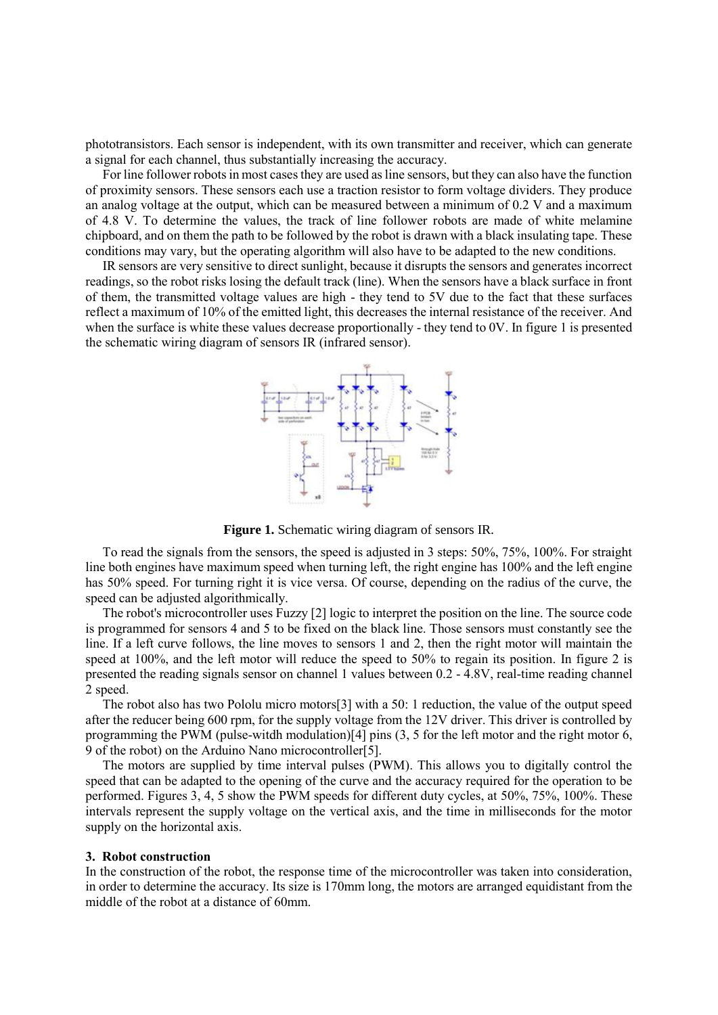phototransistors. Each sensor is independent, with its own transmitter and receiver, which can generate a signal for each channel, thus substantially increasing the accuracy.

For line follower robots in most cases they are used as line sensors, but they can also have the function of proximity sensors. These sensors each use a traction resistor to form voltage dividers. They produce an analog voltage at the output, which can be measured between a minimum of 0.2 V and a maximum of 4.8 V. To determine the values, the track of line follower robots are made of white melamine chipboard, and on them the path to be followed by the robot is drawn with a black insulating tape. These conditions may vary, but the operating algorithm will also have to be adapted to the new conditions.

IR sensors are very sensitive to direct sunlight, because it disrupts the sensors and generates incorrect readings, so the robot risks losing the default track (line). When the sensors have a black surface in front of them, the transmitted voltage values are high - they tend to 5V due to the fact that these surfaces reflect a maximum of 10% of the emitted light, this decreases the internal resistance of the receiver. And when the surface is white these values decrease proportionally - they tend to  $0V$ . In figure 1 is presented the schematic wiring diagram of sensors IR (infrared sensor).



**Figure 1.** Schematic wiring diagram of sensors IR.

To read the signals from the sensors, the speed is adjusted in 3 steps: 50%, 75%, 100%. For straight line both engines have maximum speed when turning left, the right engine has 100% and the left engine has 50% speed. For turning right it is vice versa. Of course, depending on the radius of the curve, the speed can be adjusted algorithmically.

The robot's microcontroller uses Fuzzy [2] logic to interpret the position on the line. The source code is programmed for sensors 4 and 5 to be fixed on the black line. Those sensors must constantly see the line. If a left curve follows, the line moves to sensors 1 and 2, then the right motor will maintain the speed at 100%, and the left motor will reduce the speed to 50% to regain its position. In figure 2 is presented the reading signals sensor on channel 1 values between 0.2 - 4.8V, real-time reading channel 2 speed.

The robot also has two Pololu micro motors[3] with a 50: 1 reduction, the value of the output speed after the reducer being 600 rpm, for the supply voltage from the 12V driver. This driver is controlled by programming the PWM (pulse-witdh modulation)[4] pins (3, 5 for the left motor and the right motor 6, 9 of the robot) on the Arduino Nano microcontroller[5].

The motors are supplied by time interval pulses (PWM). This allows you to digitally control the speed that can be adapted to the opening of the curve and the accuracy required for the operation to be performed. Figures 3, 4, 5 show the PWM speeds for different duty cycles, at 50%, 75%, 100%. These intervals represent the supply voltage on the vertical axis, and the time in milliseconds for the motor supply on the horizontal axis.

#### **3. Robot construction**

In the construction of the robot, the response time of the microcontroller was taken into consideration, in order to determine the accuracy. Its size is 170mm long, the motors are arranged equidistant from the middle of the robot at a distance of 60mm.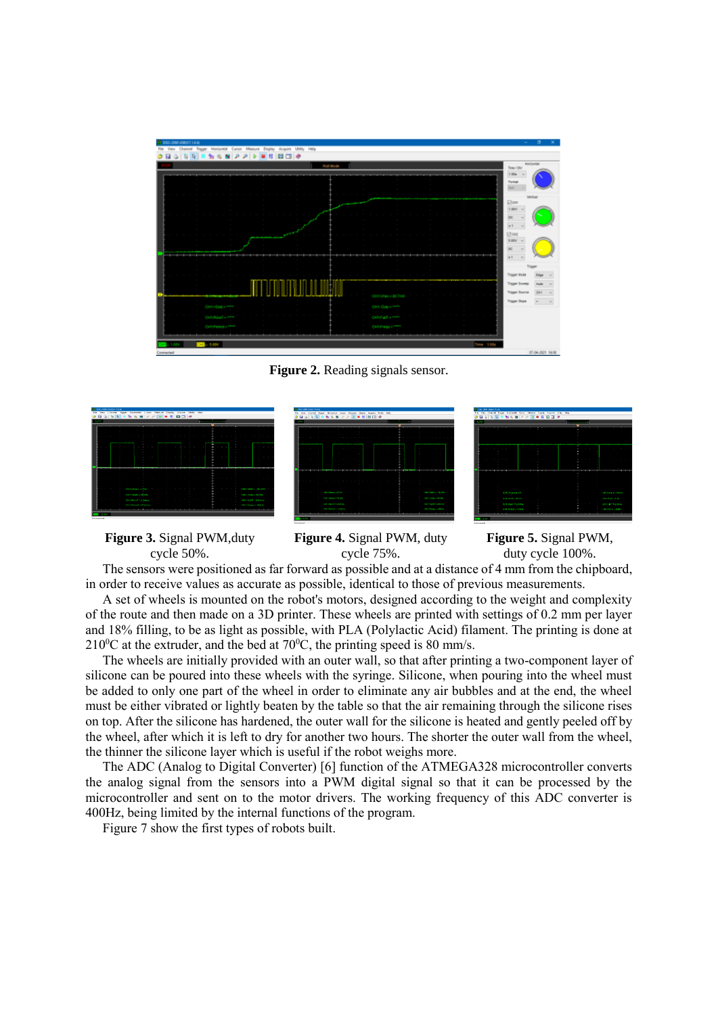

**Figure 2.** Reading signals sensor.







**Figure 3.** Signal PWM,duty cycle 50%.

**Figure 4.** Signal PWM, duty cycle 75%.

**Figure 5.** Signal PWM, duty cycle 100%.

The sensors were positioned as far forward as possible and at a distance of 4 mm from the chipboard, in order to receive values as accurate as possible, identical to those of previous measurements.

A set of wheels is mounted on the robot's motors, designed according to the weight and complexity of the route and then made on a 3D printer. These wheels are printed with settings of 0.2 mm per layer and 18% filling, to be as light as possible, with PLA (Polylactic Acid) filament. The printing is done at  $210^{\circ}$ C at the extruder, and the bed at 70 $^{\circ}$ C, the printing speed is 80 mm/s.

The wheels are initially provided with an outer wall, so that after printing a two-component layer of silicone can be poured into these wheels with the syringe. Silicone, when pouring into the wheel must be added to only one part of the wheel in order to eliminate any air bubbles and at the end, the wheel must be either vibrated or lightly beaten by the table so that the air remaining through the silicone rises on top. After the silicone has hardened, the outer wall for the silicone is heated and gently peeled off by the wheel, after which it is left to dry for another two hours. The shorter the outer wall from the wheel, the thinner the silicone layer which is useful if the robot weighs more.

The ADC (Analog to Digital Converter) [6] function of the ATMEGA328 microcontroller converts the analog signal from the sensors into a PWM digital signal so that it can be processed by the microcontroller and sent on to the motor drivers. The working frequency of this ADC converter is 400Hz, being limited by the internal functions of the program.

Figure 7 show the first types of robots built.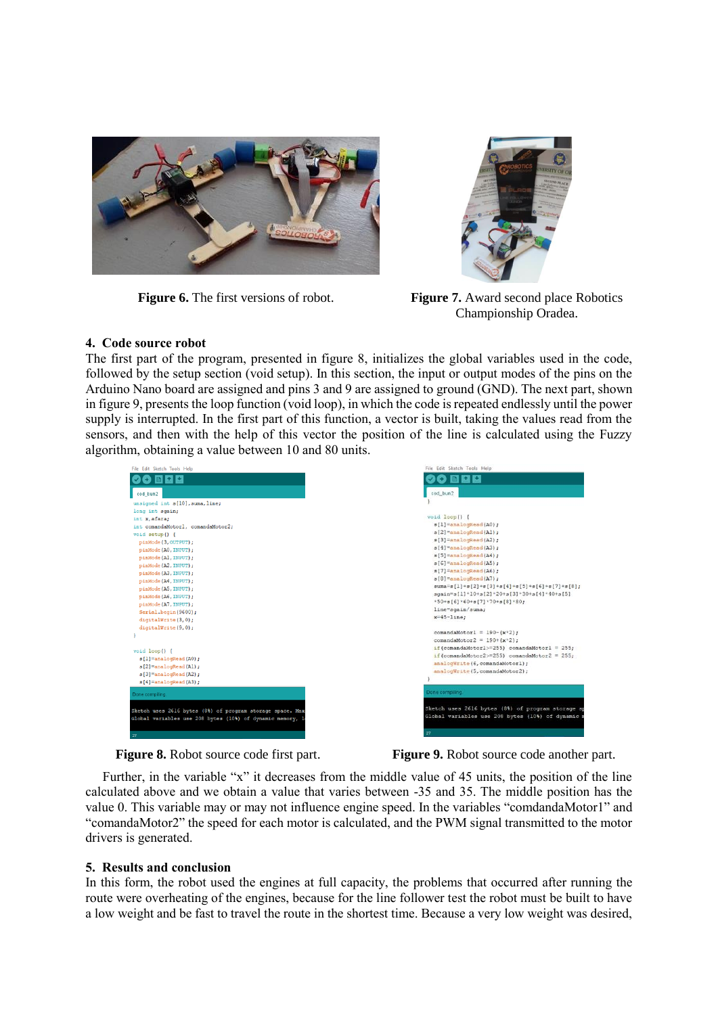



**Figure 6.** The first versions of robot. **Figure 7.** Award second place Robotics Championship Oradea.

## **4. Code source robot**

The first part of the program, presented in figure 8, initializes the global variables used in the code, followed by the setup section (void setup). In this section, the input or output modes of the pins on the Arduino Nano board are assigned and pins 3 and 9 are assigned to ground (GND). The next part, shown in figure 9, presents the loop function (void loop), in which the code is repeated endlessly until the power supply is interrupted. In the first part of this function, a vector is built, taking the values read from the sensors, and then with the help of this vector the position of the line is calculated using the Fuzzy algorithm, obtaining a value between 10 and 80 units.

| File Edit Sketch Tools Help                               | File Edit Sketch Tools Help                        |
|-----------------------------------------------------------|----------------------------------------------------|
| 00 E E E                                                  | 60 Q C<br>ŒЭ                                       |
| cod_bun2                                                  | cod bun2                                           |
| unsigned int s[10], suma, line;                           |                                                    |
| long int sgain;                                           |                                                    |
| int x, afara;                                             | void loop() {                                      |
| int comandaMotorl, comandaMotor2;                         | $s[1]$ = analogRead (A0);                          |
| void setup() {                                            | $s(2)$ = analogRead (Al);                          |
| pinMode (3, OUTPUT);                                      | $s[3]$ = analogRead (A2);                          |
| pinMode (A0, INPUT);                                      | $s[4]$ = analogRead(A3);                           |
| pinMode (Al, INPUT);                                      | $s[5]$ = analogRead(A4);                           |
| pinMode (A2, INPUT);                                      | $s[6]$ = analogRead (A5);                          |
| pinMode (A3, INPUT);                                      | $s[7]$ = analogRead (A6);                          |
| pinMode (A4, INPUT);                                      | $s[8]$ = analogRead(A7);                           |
| pinMode (A5, INPUT);                                      | $suma = s[1]+s[2]+s[3]+s[4]+s[5]+s[6]+s[7]+s[8]$ ; |
| pinMode (A6, INPUT);                                      | sgain=s[1]*10+s[2]*20+s[3]*30+s[4]*40+s[5]         |
| pinMode (A7, INPUT);                                      | $*50 + s[6] * 60 + s[7] * 70 + s[8] * 80;$         |
| Serial.begin(9600);                                       | line=sgain/suma;                                   |
|                                                           | $x=45-$ line;                                      |
| digitalWrite(3,0);                                        |                                                    |
| digitalWrite(9,0);                                        | $commandaMotor1 = 190-(x*2)$ :                     |
|                                                           | comandaMotor2 = $190+(x*2)$ ;                      |
|                                                           | if(comandaMotorl>=255) comandaMotorl = 255;        |
| void loop() {                                             | if (comandaMotor2>=255) comandaMotor2 = 255;       |
| $s[1]$ = analogRead(A0);                                  | analogWrite (6, comandaMotorl);                    |
| $s[2]$ = analogRead(Al);                                  | analogWrite (5, comandaMotor2);                    |
| $s[3]$ = analogRead (A2);                                 |                                                    |
| $s[4]$ = analogRead (A3);                                 |                                                    |
| Done compiling.                                           | Done compiling                                     |
|                                                           | Sketch uses 2616 bytes (8%) of program storage sp  |
| Sketch uses 2616 bytes (8%) of program storage space. Max | Global variables use 208 bytes (10%) of dynamic m  |
| Global variables use 208 bytes (10%) of dynamic memory, 1 |                                                    |
|                                                           | 27                                                 |
| 27                                                        |                                                    |

**Figure 8.** Robot source code first part. **Figure 9.** Robot source code another part.

Further, in the variable "x" it decreases from the middle value of 45 units, the position of the line calculated above and we obtain a value that varies between -35 and 35. The middle position has the value 0. This variable may or may not influence engine speed. In the variables "comdandaMotor1" and "comandaMotor2" the speed for each motor is calculated, and the PWM signal transmitted to the motor drivers is generated.

## **5. Results and conclusion**

In this form, the robot used the engines at full capacity, the problems that occurred after running the route were overheating of the engines, because for the line follower test the robot must be built to have a low weight and be fast to travel the route in the shortest time. Because a very low weight was desired,